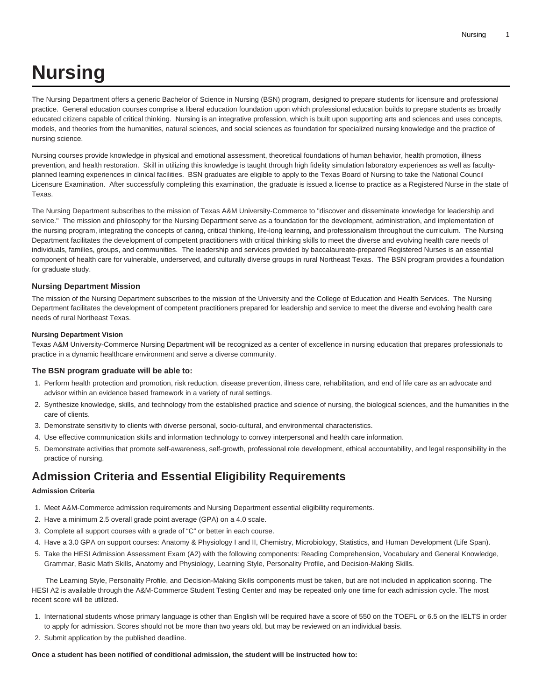# **Nursing**

The Nursing Department offers a generic Bachelor of Science in Nursing (BSN) program, designed to prepare students for licensure and professional practice. General education courses comprise a liberal education foundation upon which professional education builds to prepare students as broadly educated citizens capable of critical thinking. Nursing is an integrative profession, which is built upon supporting arts and sciences and uses concepts, models, and theories from the humanities, natural sciences, and social sciences as foundation for specialized nursing knowledge and the practice of nursing science.

Nursing courses provide knowledge in physical and emotional assessment, theoretical foundations of human behavior, health promotion, illness prevention, and health restoration. Skill in utilizing this knowledge is taught through high fidelity simulation laboratory experiences as well as facultyplanned learning experiences in clinical facilities. BSN graduates are eligible to apply to the Texas Board of Nursing to take the National Council Licensure Examination. After successfully completing this examination, the graduate is issued a license to practice as a Registered Nurse in the state of Texas.

The Nursing Department subscribes to the mission of Texas A&M University-Commerce to "discover and disseminate knowledge for leadership and service." The mission and philosophy for the Nursing Department serve as a foundation for the development, administration, and implementation of the nursing program, integrating the concepts of caring, critical thinking, life-long learning, and professionalism throughout the curriculum. The Nursing Department facilitates the development of competent practitioners with critical thinking skills to meet the diverse and evolving health care needs of individuals, families, groups, and communities. The leadership and services provided by baccalaureate-prepared Registered Nurses is an essential component of health care for vulnerable, underserved, and culturally diverse groups in rural Northeast Texas. The BSN program provides a foundation for graduate study.

# **Nursing Department Mission**

The mission of the Nursing Department subscribes to the mission of the University and the College of Education and Health Services. The Nursing Department facilitates the development of competent practitioners prepared for leadership and service to meet the diverse and evolving health care needs of rural Northeast Texas.

# **Nursing Department Vision**

Texas A&M University-Commerce Nursing Department will be recognized as a center of excellence in nursing education that prepares professionals to practice in a dynamic healthcare environment and serve a diverse community.

#### **The BSN program graduate will be able to:**

- 1. Perform health protection and promotion, risk reduction, disease prevention, illness care, rehabilitation, and end of life care as an advocate and advisor within an evidence based framework in a variety of rural settings.
- 2. Synthesize knowledge, skills, and technology from the established practice and science of nursing, the biological sciences, and the humanities in the care of clients.
- 3. Demonstrate sensitivity to clients with diverse personal, socio-cultural, and environmental characteristics.
- 4. Use effective communication skills and information technology to convey interpersonal and health care information.
- 5. Demonstrate activities that promote self-awareness, self-growth, professional role development, ethical accountability, and legal responsibility in the practice of nursing.

# **Admission Criteria and Essential Eligibility Requirements**

## **Admission Criteria**

- 1. Meet A&M-Commerce admission requirements and Nursing Department essential eligibility requirements.
- 2. Have a minimum 2.5 overall grade point average (GPA) on a 4.0 scale.
- 3. Complete all support courses with a grade of "C" or better in each course.
- 4. Have a 3.0 GPA on support courses: Anatomy & Physiology I and II, Chemistry, Microbiology, Statistics, and Human Development (Life Span).
- 5. Take the HESI Admission Assessment Exam (A2) with the following components: Reading Comprehension, Vocabulary and General Knowledge, Grammar, Basic Math Skills, Anatomy and Physiology, Learning Style, Personality Profile, and Decision-Making Skills.

 The Learning Style, Personality Profile, and Decision-Making Skills components must be taken, but are not included in application scoring. The HESI A2 is available through the A&M-Commerce Student Testing Center and may be repeated only one time for each admission cycle. The most recent score will be utilized.

- 1. International students whose primary language is other than English will be required have a score of 550 on the TOEFL or 6.5 on the IELTS in order to apply for admission. Scores should not be more than two years old, but may be reviewed on an individual basis.
- 2. Submit application by the published deadline.

#### **Once a student has been notified of conditional admission, the student will be instructed how to:**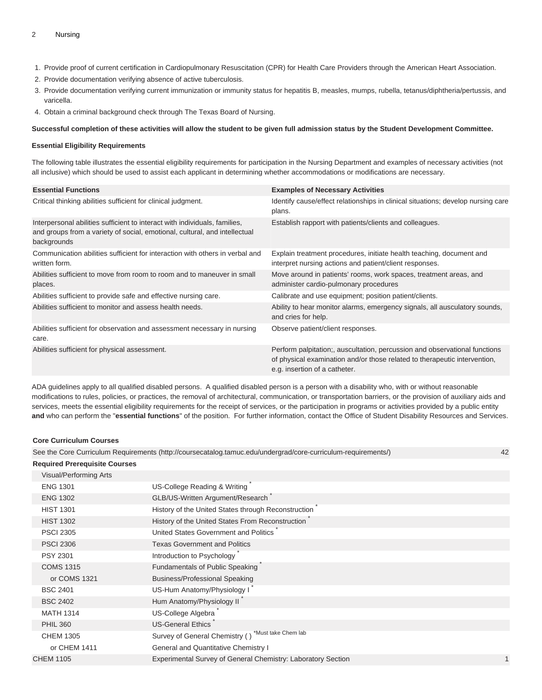#### 2 Nursing

- 1. Provide proof of current certification in Cardiopulmonary Resuscitation (CPR) for Health Care Providers through the American Heart Association.
- 2. Provide documentation verifying absence of active tuberculosis.
- 3. Provide documentation verifying current immunization or immunity status for hepatitis B, measles, mumps, rubella, tetanus/diphtheria/pertussis, and varicella.
- 4. Obtain a criminal background check through The Texas Board of Nursing.

#### **Successful completion of these activities will allow the student to be given full admission status by the Student Development Committee.**

#### **Essential Eligibility Requirements**

The following table illustrates the essential eligibility requirements for participation in the Nursing Department and examples of necessary activities (not all inclusive) which should be used to assist each applicant in determining whether accommodations or modifications are necessary.

| <b>Essential Functions</b>                                                                                                                                              | <b>Examples of Necessary Activities</b>                                                                                                                                                  |
|-------------------------------------------------------------------------------------------------------------------------------------------------------------------------|------------------------------------------------------------------------------------------------------------------------------------------------------------------------------------------|
| Critical thinking abilities sufficient for clinical judgment.                                                                                                           | Identify cause/effect relationships in clinical situations; develop nursing care<br>plans.                                                                                               |
| Interpersonal abilities sufficient to interact with individuals, families,<br>and groups from a variety of social, emotional, cultural, and intellectual<br>backgrounds | Establish rapport with patients/clients and colleagues.                                                                                                                                  |
| Communication abilities sufficient for interaction with others in verbal and<br>written form.                                                                           | Explain treatment procedures, initiate health teaching, document and<br>interpret nursing actions and patient/client responses.                                                          |
| Abilities sufficient to move from room to room and to maneuver in small<br>places.                                                                                      | Move around in patients' rooms, work spaces, treatment areas, and<br>administer cardio-pulmonary procedures                                                                              |
| Abilities sufficient to provide safe and effective nursing care.                                                                                                        | Calibrate and use equipment; position patient/clients.                                                                                                                                   |
| Abilities sufficient to monitor and assess health needs.                                                                                                                | Ability to hear monitor alarms, emergency signals, all ausculatory sounds,<br>and cries for help.                                                                                        |
| Abilities sufficient for observation and assessment necessary in nursing<br>care.                                                                                       | Observe patient/client responses.                                                                                                                                                        |
| Abilities sufficient for physical assessment.                                                                                                                           | Perform palpitation;, auscultation, percussion and observational functions<br>of physical examination and/or those related to therapeutic intervention,<br>e.g. insertion of a catheter. |

ADA guidelines apply to all qualified disabled persons. A qualified disabled person is a person with a disability who, with or without reasonable modifications to rules, policies, or practices, the removal of architectural, communication, or transportation barriers, or the provision of auxiliary aids and services, meets the essential eligibility requirements for the receipt of services, or the participation in programs or activities provided by a public entity **and** who can perform the "**essential functions**" of the position. For further information, contact the Office of Student Disability Resources and Services.

#### **Core Curriculum Courses**

See the [Core Curriculum Requirements](http://coursecatalog.tamuc.edu/undergrad/core-curriculum-requirements/) ([http://coursecatalog.tamuc.edu/undergrad/core-curriculum-requirements/\)](http://coursecatalog.tamuc.edu/undergrad/core-curriculum-requirements/) 42 **Required Prerequisite Courses**

| Visual/Performing Arts |                                                              |  |
|------------------------|--------------------------------------------------------------|--|
| <b>ENG 1301</b>        | US-College Reading & Writing                                 |  |
| <b>ENG 1302</b>        | GLB/US-Written Argument/Research                             |  |
| <b>HIST 1301</b>       | History of the United States through Reconstruction          |  |
| <b>HIST 1302</b>       | History of the United States From Reconstruction             |  |
| <b>PSCI 2305</b>       | United States Government and Politics                        |  |
| <b>PSCI 2306</b>       | <b>Texas Government and Politics</b>                         |  |
| <b>PSY 2301</b>        | Introduction to Psychology                                   |  |
| <b>COMS 1315</b>       | Fundamentals of Public Speaking                              |  |
| or COMS 1321           | <b>Business/Professional Speaking</b>                        |  |
| <b>BSC 2401</b>        | US-Hum Anatomy/Physiology I                                  |  |
| <b>BSC 2402</b>        | Hum Anatomy/Physiology II                                    |  |
| <b>MATH 1314</b>       | US-College Algebra                                           |  |
| <b>PHIL 360</b>        | <b>US-General Ethics</b>                                     |  |
| <b>CHEM 1305</b>       | *Must take Chem lab<br>Survey of General Chemistry ()        |  |
| or CHEM 1411           | General and Quantitative Chemistry I                         |  |
| <b>CHEM 1105</b>       | Experimental Survey of General Chemistry: Laboratory Section |  |
|                        |                                                              |  |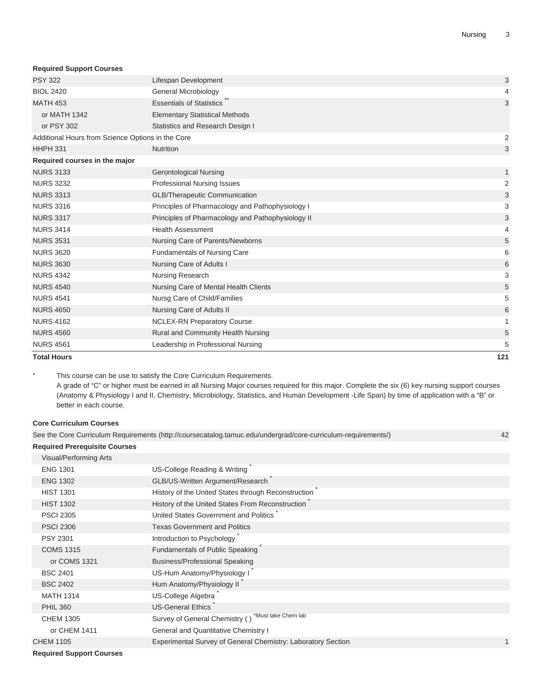#### **Required Support Courses**

| <b>Total Hours</b>                                |                                                   | 121                       |
|---------------------------------------------------|---------------------------------------------------|---------------------------|
| <b>NURS 4561</b>                                  | Leadership in Professional Nursing                | 5                         |
| <b>NURS 4560</b>                                  | Rural and Community Health Nursing                | 5                         |
| <b>NURS 4162</b>                                  | <b>NCLEX-RN Preparatory Course</b>                | $\mathbf{1}$              |
| <b>NURS 4650</b>                                  | Nursing Care of Adults II                         | 6                         |
| <b>NURS 4541</b>                                  | Nursg Care of Child/Families                      | 5                         |
| <b>NURS 4540</b>                                  | Nursing Care of Mental Health Clients             | 5                         |
| <b>NURS 4342</b>                                  | Nursing Research                                  | 3                         |
| <b>NURS 3630</b>                                  | Nursing Care of Adults I                          | 6                         |
| <b>NURS 3620</b>                                  | <b>Fundamentals of Nursing Care</b>               | 6                         |
| <b>NURS 3531</b>                                  | Nursing Care of Parents/Newborns                  | 5                         |
| <b>NURS 3414</b>                                  | <b>Health Assessment</b>                          | 4                         |
| <b>NURS 3317</b>                                  | Principles of Pharmacology and Pathophysiology II | 3                         |
| <b>NURS 3316</b>                                  | Principles of Pharmacology and Pathophysiology I  | 3                         |
| <b>NURS 3313</b>                                  | <b>GLB/Therapeutic Communication</b>              | 3                         |
| <b>NURS 3232</b>                                  | <b>Professional Nursing Issues</b>                | $\overline{2}$            |
| <b>NURS 3133</b>                                  | <b>Gerontological Nursing</b>                     | $\mathbf{1}$              |
| Required courses in the major                     |                                                   |                           |
| <b>HHPH 331</b>                                   | Nutrition                                         | 3                         |
| Additional Hours from Science Options in the Core |                                                   | 2                         |
| or PSY 302                                        | Statistics and Research Design I                  |                           |
| or MATH 1342                                      | <b>Elementary Statistical Methods</b>             |                           |
| <b>MATH 453</b>                                   | <b>Essentials of Statistics</b>                   | 3                         |
| <b>BIOL 2420</b>                                  | General Microbiology                              | 4                         |
| <b>PSY 322</b>                                    | Lifespan Development                              | $\ensuremath{\mathsf{3}}$ |

This course can be use to satisfy the Core Curriculum Requirements. A grade of "C" or higher must be earned in all Nursing Major courses required for this major. Complete the six (6) key nursing support courses (Anatomy & Physiology I and II, Chemistry, Microbiology, Statistics, and Human Development -Life Span) by time of application with a "B" or better in each course.

## **Core Curriculum Courses**

See the [Core Curriculum Requirements](http://coursecatalog.tamuc.edu/undergrad/core-curriculum-requirements/) ([http://coursecatalog.tamuc.edu/undergrad/core-curriculum-requirements/\)](http://coursecatalog.tamuc.edu/undergrad/core-curriculum-requirements/) 42 **Required Prerequisite Courses** Visual/Performing Arts [ENG 1301](/search/?P=ENG%201301) US-College Reading & Writing [ENG 1302](/search/?P=ENG%201302) GLB/US-Written Argument/Research [HIST 1301](/search/?P=HIST%201301) History of the United States through Reconstruction [HIST 1302](/search/?P=HIST%201302) History of the United States From Reconstruction \* [PSCI 2305](/search/?P=PSCI%202305) United States Government and Politics \* [PSCI 2306](/search/?P=PSCI%202306) Texas Government and Politics [PSY 2301](/search/?P=PSY%202301) **Introduction to Psychology** [COMS 1315](/search/?P=COMS%201315) Fundamentals of Public Speaking \* or [COMS 1321](/search/?P=COMS%201321) **Business/Professional Speaking** [BSC 2401](/search/?P=BSC%202401) US-Hum Anatomy/Physiology I [BSC 2402](/search/?P=BSC%202402) Hum Anatomy/Physiology II [MATH 1314](/search/?P=MATH%201314) US-College Algebra [PHIL 360](/search/?P=PHIL%20360) US-General Ethics [CHEM 1305](/search/?P=CHEM%201305) Survey of General Chemistry ( ) \*Must take Chem lab or [CHEM 1411](/search/?P=CHEM%201411) General and Quantitative Chemistry I [CHEM 1105](/search/?P=CHEM%201105) Experimental Survey of General Chemistry: Laboratory Section 1

**Required Support Courses**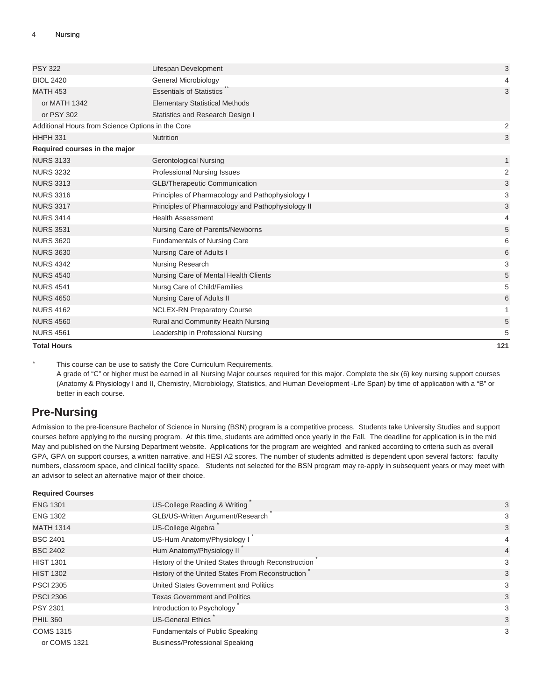| <b>Total Hours</b>                                |                                                   | 121            |
|---------------------------------------------------|---------------------------------------------------|----------------|
| <b>NURS 4561</b>                                  | Leadership in Professional Nursing                | 5              |
| <b>NURS 4560</b>                                  | Rural and Community Health Nursing                | 5              |
| <b>NURS 4162</b>                                  | <b>NCLEX-RN Preparatory Course</b>                | 1              |
| <b>NURS 4650</b>                                  | Nursing Care of Adults II                         | 6              |
| <b>NURS 4541</b>                                  | Nursg Care of Child/Families                      | 5              |
| <b>NURS 4540</b>                                  | Nursing Care of Mental Health Clients             | 5              |
| <b>NURS 4342</b>                                  | Nursing Research                                  | 3              |
| <b>NURS 3630</b>                                  | Nursing Care of Adults I                          | 6              |
| <b>NURS 3620</b>                                  | <b>Fundamentals of Nursing Care</b>               | 6              |
| <b>NURS 3531</b>                                  | Nursing Care of Parents/Newborns                  | 5              |
| <b>NURS 3414</b>                                  | <b>Health Assessment</b>                          | 4              |
| <b>NURS 3317</b>                                  | Principles of Pharmacology and Pathophysiology II | 3              |
| <b>NURS 3316</b>                                  | Principles of Pharmacology and Pathophysiology I  | 3              |
| <b>NURS 3313</b>                                  | <b>GLB/Therapeutic Communication</b>              | 3              |
| <b>NURS 3232</b>                                  | Professional Nursing Issues                       | $\overline{2}$ |
| <b>NURS 3133</b>                                  | <b>Gerontological Nursing</b>                     | 1              |
| Required courses in the major                     |                                                   |                |
| <b>HHPH 331</b>                                   | <b>Nutrition</b>                                  | 3              |
| Additional Hours from Science Options in the Core |                                                   | 2              |
| or PSY 302                                        | Statistics and Research Design I                  |                |
| or MATH 1342                                      | <b>Elementary Statistical Methods</b>             |                |
| <b>MATH 453</b>                                   | <b>Essentials of Statistics</b>                   | 3              |
| <b>BIOL 2420</b>                                  | General Microbiology                              | 4              |
| <b>PSY 322</b>                                    | Lifespan Development                              | 3              |

\* This course can be use to satisfy the Core Curriculum Requirements.

A grade of "C" or higher must be earned in all Nursing Major courses required for this major. Complete the six (6) key nursing support courses (Anatomy & Physiology I and II, Chemistry, Microbiology, Statistics, and Human Development -Life Span) by time of application with a "B" or better in each course.

# **Pre-Nursing**

Admission to the pre-licensure Bachelor of Science in Nursing (BSN) program is a competitive process. Students take University Studies and support courses before applying to the nursing program. At this time, students are admitted once yearly in the Fall. The deadline for application is in the mid May and published on the Nursing Department website. Applications for the program are weighted and ranked according to criteria such as overall GPA, GPA on support courses, a written narrative, and HESI A2 scores. The number of students admitted is dependent upon several factors: faculty numbers, classroom space, and clinical facility space. Students not selected for the BSN program may re-apply in subsequent years or may meet with an advisor to select an alternative major of their choice.

| <b>Required Courses</b> |                                                     |   |
|-------------------------|-----------------------------------------------------|---|
| <b>ENG 1301</b>         | US-College Reading & Writing                        | 3 |
| <b>ENG 1302</b>         | GLB/US-Written Argument/Research                    | 3 |
| <b>MATH 1314</b>        | US-College Algebra                                  | 3 |
| <b>BSC 2401</b>         | US-Hum Anatomy/Physiology I                         | 4 |
| <b>BSC 2402</b>         | Hum Anatomy/Physiology II                           | 4 |
| <b>HIST 1301</b>        | History of the United States through Reconstruction | 3 |
| <b>HIST 1302</b>        | History of the United States From Reconstruction    | 3 |
| <b>PSCI 2305</b>        | United States Government and Politics               | 3 |
| <b>PSCI 2306</b>        | <b>Texas Government and Politics</b>                | 3 |
| <b>PSY 2301</b>         | Introduction to Psychology                          | 3 |
| <b>PHIL 360</b>         | <b>US-General Ethics</b>                            | 3 |
| <b>COMS 1315</b>        | Fundamentals of Public Speaking                     | 3 |
| or COMS 1321            | <b>Business/Professional Speaking</b>               |   |